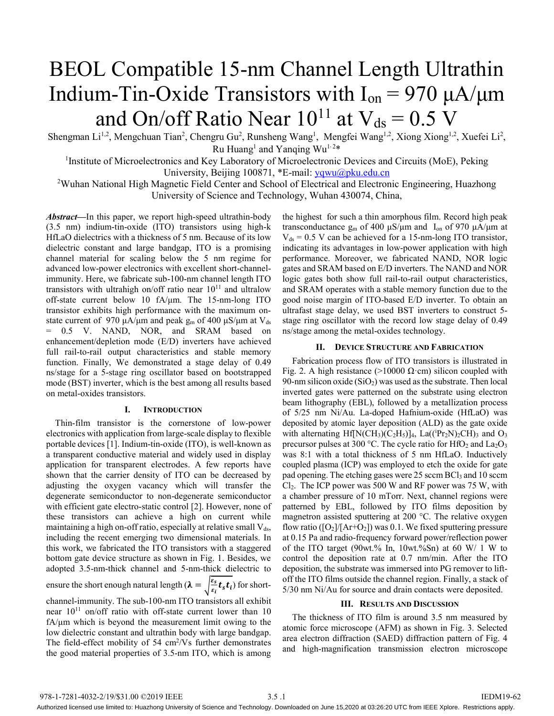# BEOL Compatible 15-nm Channel Length Ultrathin Indium-Tin-Oxide Transistors with  $I_{on} = 970 \mu A/\mu m$ and On/off Ratio Near  $10^{11}$  at  $V_{ds} = 0.5$  V

Shengman Li<sup>1,2</sup>, Mengchuan Tian<sup>2</sup>, Chengru Gu<sup>2</sup>, Runsheng Wang<sup>1</sup>, Mengfei Wang<sup>1,2</sup>, Xiong Xiong<sup>1,2</sup>, Xuefei Li<sup>2</sup>, Ru Huang<sup>1</sup> and Yanqing Wu<sup>1,2\*</sup>

<sup>1</sup>Institute of Microelectronics and Key Laboratory of Microelectronic Devices and Circuits (MoE), Peking University, Beijing 100871, \*E-mail: yqwu@pku.edu.cn

<sup>2</sup>Wuhan National High Magnetic Field Center and School of Electrical and Electronic Engineering, Huazhong University of Science and Technology, Wuhan 430074, China,

*Abstract***—**In this paper, we report high-speed ultrathin-body (3.5 nm) indium-tin-oxide (ITO) transistors using high-k HfLaO dielectrics with a thickness of 5 nm. Because of its low dielectric constant and large bandgap, ITO is a promising channel material for scaling below the 5 nm regime for advanced low-power electronics with excellent short-channelimmunity. Here, we fabricate sub-100-nm channel length ITO transistors with ultrahigh on/off ratio near  $10^{11}$  and ultralow off-state current below 10 fA/μm. The 15-nm-long ITO transistor exhibits high performance with the maximum onstate current of 970 μA/μm and peak  $g_m$  of 400 μS/μm at V<sub>ds</sub> = 0.5 V. NAND, NOR, and SRAM based on enhancement/depletion mode (E/D) inverters have achieved full rail-to-rail output characteristics and stable memory function. Finally, We demonstrated a stage delay of 0.49 ns/stage for a 5-stage ring oscillator based on bootstrapped mode (BST) inverter, which is the best among all results based on metal-oxides transistors.

# **I. INTRODUCTION**

Thin-film transistor is the cornerstone of low-power electronics with application from large-scale display to flexible portable devices [1]. Indium-tin-oxide (ITO), is well-known as a transparent conductive material and widely used in display application for transparent electrodes. A few reports have shown that the carrier density of ITO can be decreased by adjusting the oxygen vacancy which will transfer the degenerate semiconductor to non-degenerate semiconductor with efficient gate electro-static control [2]. However, none of these transistors can achieve a high on current while maintaining a high on-off ratio, especially at relative small  $V_{ds}$ , including the recent emerging two dimensional materials. In this work, we fabricated the ITO transistors with a staggered bottom gate device structure as shown in Fig. 1. Besides, we adopted 3.5-nm-thick channel and 5-nm-thick dielectric to ensure the short enough natural length  $(\lambda = \sqrt{\frac{\varepsilon_s}{\varepsilon_i}} t_s t_i)$  for short-

channel-immunity. The sub-100-nm ITO transistors all exhibit near  $10^{11}$  on/off ratio with off-state current lower than 10 fA/μm which is beyond the measurement limit owing to the low dielectric constant and ultrathin body with large bandgap. The field-effect mobility of  $54 \text{ cm}^2/\text{Vs}$  further demonstrates the good material properties of 3.5-nm ITO, which is among

the highest for such a thin amorphous film. Record high peak transconductance  $g_m$  of 400 μS/μm and I<sub>on</sub> of 970 μA/μm at  $V_{ds}$  = 0.5 V can be achieved for a 15-nm-long ITO transistor, indicating its advantages in low-power application with high performance. Moreover, we fabricated NAND, NOR logic gates and SRAM based on E/D inverters. The NAND and NOR logic gates both show full rail-to-rail output characteristics, and SRAM operates with a stable memory function due to the good noise margin of ITO-based E/D inverter. To obtain an ultrafast stage delay, we used BST inverters to construct 5 stage ring oscillator with the record low stage delay of 0.49 ns/stage among the metal-oxides technology.

# **II. DEVICE STRUCTURE AND FABRICATION**

Fabrication process flow of ITO transistors is illustrated in Fig. 2. A high resistance (>10000  $\Omega$ ·cm) silicon coupled with 90-nm silicon oxide  $(SiO<sub>2</sub>)$  was used as the substrate. Then local inverted gates were patterned on the substrate using electron beam lithography (EBL), followed by a metallization process of 5/25 nm Ni/Au. La-doped Hafnium-oxide (HfLaO) was deposited by atomic layer deposition (ALD) as the gate oxide with alternating Hf[N(CH<sub>3</sub>)(C<sub>2</sub>H<sub>5</sub>)]<sub>4</sub>, La((<sup>i</sup>Pr<sub>2</sub>N)<sub>2</sub>CH)<sub>3</sub> and O<sub>3</sub> precursor pulses at 300 °C. The cycle ratio for  $HfO<sub>2</sub>$  and  $La<sub>2</sub>O<sub>3</sub>$ was 8:1 with a total thickness of 5 nm HfLaO. Inductively coupled plasma (ICP) was employed to etch the oxide for gate pad opening. The etching gases were  $25$  sccm BCl<sub>3</sub> and 10 sccm  $Cl<sub>2</sub>$ . The ICP power was 500 W and RF power was 75 W, with a chamber pressure of 10 mTorr. Next, channel regions were patterned by EBL, followed by ITO films deposition by magnetron assisted sputtering at 200 °C. The relative oxygen flow ratio ( $[O_2]/[Ar+O_2]$ ) was 0.1. We fixed sputtering pressure at 0.15 Pa and radio-frequency forward power/reflection power of the ITO target (90wt.% In, 10wt.%Sn) at 60 W/ 1 W to control the deposition rate at 0.7 nm/min. After the ITO deposition, the substrate was immersed into PG remover to liftoff the ITO films outside the channel region. Finally, a stack of 5/30 nm Ni/Au for source and drain contacts were deposited.

## **III. RESULTS AND DISCUSSION**

The thickness of ITO film is around 3.5 nm measured by atomic force microscope (AFM) as shown in Fig. 3. Selected area electron diffraction (SAED) diffraction pattern of Fig. 4 and high-magnification transmission electron microscope

Authorized licensed use limited to: Huazhong University of Science and Technology. Downloaded on June 15,2020 at 03:26:20 UTC from IEEE Xplore. Restrictions apply.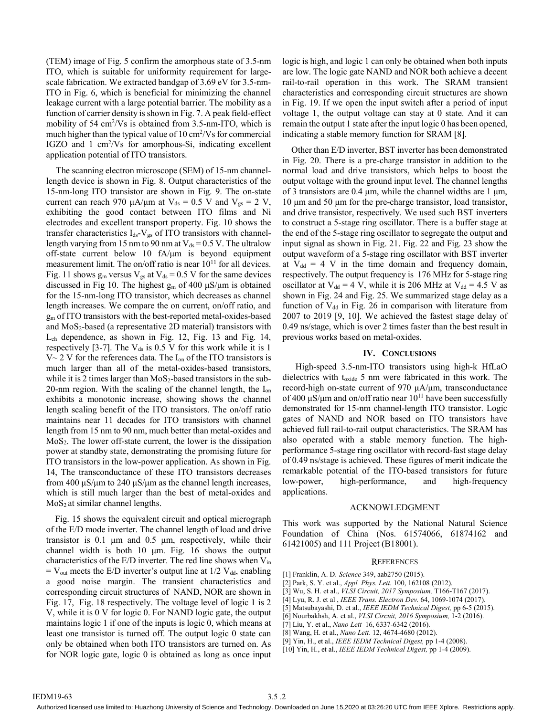(TEM) image of Fig. 5 confirm the amorphous state of 3.5-nm ITO, which is suitable for uniformity requirement for largescale fabrication. We extracted bandgap of 3.69 eV for 3.5-nm-ITO in Fig. 6, which is beneficial for minimizing the channel leakage current with a large potential barrier. The mobility as a function of carrier density is shown in Fig. 7. A peak field-effect mobility of  $54 \text{ cm}^2/\text{Vs}$  is obtained from  $3.5$ -nm-ITO, which is much higher than the typical value of 10 cm<sup>2</sup>/Vs for commercial IGZO and 1 cm2 /Vs for amorphous-Si, indicating excellent application potential of ITO transistors.

The scanning electron microscope (SEM) of 15-nm channellength device is shown in Fig. 8. Output characteristics of the 15-nm-long ITO transistor are shown in Fig. 9. The on-state current can reach 970  $\mu$ A/ $\mu$ m at V<sub>ds</sub> = 0.5 V and V<sub>gs</sub> = 2 V, exhibiting the good contact between ITO films and Ni electrodes and excellent transport property. Fig. 10 shows the transfer characteristics  $I_{ds}$ - $V_{gs}$  of ITO transistors with channellength varying from 15 nm to 90 nm at  $V_{ds} = 0.5$  V. The ultralow off-state current below 10 fA/μm is beyond equipment measurement limit. The on/off ratio is near  $10^{11}$  for all devices. Fig. 11 shows  $g_m$  versus  $V_{gs}$  at  $V_{ds} = 0.5$  V for the same devices discussed in Fig 10. The highest  $g_m$  of 400  $\mu$ S/ $\mu$ m is obtained for the 15-nm-long ITO transistor, which decreases as channel length increases. We compare the on current, on/off ratio, and gm of ITO transistors with the best-reported metal-oxides-based and  $MoS<sub>2</sub>$ -based (a representative 2D material) transistors with Lch dependence, as shown in Fig. 12, Fig. 13 and Fig. 14, respectively  $[3-7]$ . The V<sub>ds</sub> is 0.5 V for this work while it is 1  $V~2$  V for the references data. The I<sub>on</sub> of the ITO transistors is much larger than all of the metal-oxides-based transistors, while it is 2 times larger than  $MoS<sub>2</sub>$ -based transistors in the sub-20-nm region. With the scaling of the channel length, the  $I_{on}$ exhibits a monotonic increase, showing shows the channel length scaling benefit of the ITO transistors. The on/off ratio maintains near 11 decades for ITO transistors with channel length from 15 nm to 90 nm, much better than metal-oxides and MoS2. The lower off-state current, the lower is the dissipation power at standby state, demonstrating the promising future for ITO transistors in the low-power application. As shown in Fig. 14, The transconductance of these ITO transistors decreases from 400  $\mu$ S/ $\mu$ m to 240  $\mu$ S/ $\mu$ m as the channel length increases, which is still much larger than the best of metal-oxides and  $MoS<sub>2</sub>$  at similar channel lengths.

Fig. 15 shows the equivalent circuit and optical micrograph of the E/D mode inverter. The channel length of load and drive transistor is 0.1 μm and 0.5 μm, respectively, while their channel width is both 10 μm. Fig. 16 shows the output characteristics of the E/D inverter. The red line shows when Vin  $=$  V<sub>out</sub> meets the E/D inverter's output line at 1/2 V<sub>dd</sub>, enabling a good noise margin. The transient characteristics and corresponding circuit structures of NAND, NOR are shown in Fig. 17, Fig. 18 respectively. The voltage level of logic 1 is 2 V, while it is 0 V for logic 0. For NAND logic gate, the output maintains logic 1 if one of the inputs is logic 0, which means at least one transistor is turned off. The output logic 0 state can only be obtained when both ITO transistors are turned on. As for NOR logic gate, logic 0 is obtained as long as once input logic is high, and logic 1 can only be obtained when both inputs are low. The logic gate NAND and NOR both achieve a decent rail-to-rail operation in this work. The SRAM transient characteristics and corresponding circuit structures are shown in Fig. 19. If we open the input switch after a period of input voltage 1, the output voltage can stay at 0 state. And it can remain the output 1 state after the input logic 0 has been opened, indicating a stable memory function for SRAM [8].

Other than E/D inverter, BST inverter has been demonstrated in Fig. 20. There is a pre-charge transistor in addition to the normal load and drive transistors, which helps to boost the output voltage with the ground input level. The channel lengths of 3 transistors are 0.4 μm, while the channel widths are 1 μm, 10 μm and 50 μm for the pre-charge transistor, load transistor, and drive transistor, respectively. We used such BST inverters to construct a 5-stage ring oscillator. There is a buffer stage at the end of the 5-stage ring oscillator to segregate the output and input signal as shown in Fig. 21. Fig. 22 and Fig. 23 show the output waveform of a 5-stage ring oscillator with BST inverter at  $V_{dd} = 4$  V in the time domain and frequency domain, respectively. The output frequency is 176 MHz for 5-stage ring oscillator at  $V_{dd} = 4 V$ , while it is 206 MHz at  $V_{dd} = 4.5 V$  as shown in Fig. 24 and Fig. 25. We summarized stage delay as a function of  $V_{dd}$  in Fig. 26 in comparison with literature from 2007 to 2019 [9, 10]. We achieved the fastest stage delay of 0.49 ns/stage, which is over 2 times faster than the best result in previous works based on metal-oxides.

### **IV. CONCLUSIONS**

High-speed 3.5-nm-ITO transistors using high-k HfLaO dielectrics with toxide 5 nm were fabricated in this work. The record-high on-state current of 970 μA/μm, transconductance of 400  $\mu$ S/ $\mu$ m and on/off ratio near 10<sup>11</sup> have been successfully demonstrated for 15-nm channel-length ITO transistor. Logic gates of NAND and NOR based on ITO transistors have achieved full rail-to-rail output characteristics. The SRAM has also operated with a stable memory function. The highperformance 5-stage ring oscillator with record-fast stage delay of 0.49 ns/stage is achieved. These figures of merit indicate the remarkable potential of the ITO-based transistors for future low-power, high-performance, and high-frequency applications.

# ACKNOWLEDGMENT

This work was supported by the National Natural Science Foundation of China (Nos. 61574066, 61874162 and 61421005) and 111 Project (B18001).

# **REFERENCES**

- [1] Franklin, A. D. *Science* 349, aab2750 (2015).
- [2] Park, S. Y. et al., *Appl. Phys. Lett.* 100, 162108 (2012).
- [3] Wu, S. H. et al., *VLSI Circuit, 2017 Symposium,* T166-T167 (2017).
- [4] Lyu, R. J. et al , *IEEE Trans. Electron Dev.* 64, 1069-1074 (2017).
- [5] Matsubayashi, D. et al., *IEEE IEDM Technical Digest,* pp 6-5 (2015).
- [6] Nourbakhsh, A. et al., *VLSI Circuit, 2016 Symposium,* 1-2 (2016).
- [7] Liu, Y. et al., *Nano Lett* 16, 6337-6342 (2016).
- [8] Wang, H. et al., *Nano Lett*. 12, 4674-4680 (2012).
- [9] Yin, H., et al., *IEEE IEDM Technical Digest,* pp 1-4 (2008).
- [10] Yin, H., et al., *IEEE IEDM Technical Digest,* pp 1-4 (2009).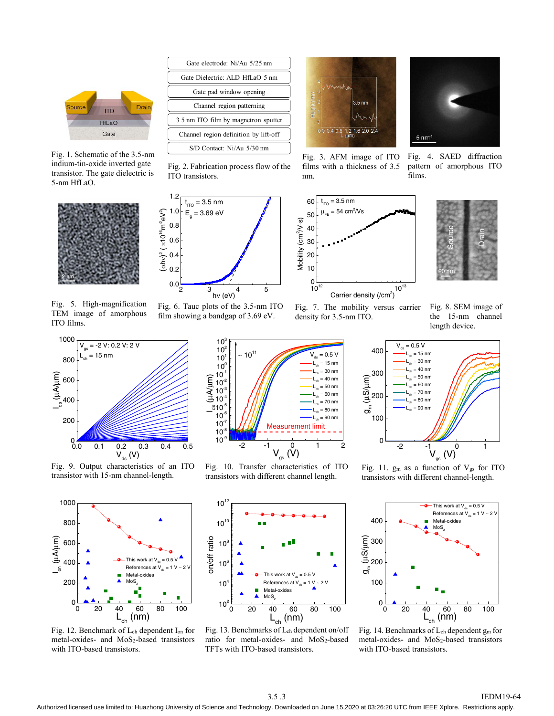

Fig. 1. Schematic of the 3.5-nm indium-tin-oxide inverted gate transistor. The gate dielectric is 5-nm HfLaO.



Fig. 5. High-magnification TEM image of amorphous ITO films.



Fig. 9. Output characteristics of an ITO transistor with 15-nm channel-length.



Fig. 12. Benchmark of Lch dependent Ion for metal-oxides- and MoS2-based transistors with ITO-based transistors.



Fig. 2. Fabrication process flow of the

Fig. 6. Tauc plots of the 3.5-nm ITO film showing a bandgap of 3.69 eV.

> 10-9  $10<sup>°</sup>$ 10-7  $10$  $\frac{9}{10^{-5}}$  $10^{-4}$  $10^{3}$  $10^{-2}$  $10^{-1}$  $10^0$ . 10 $^1$  $10<sup>1</sup>$  $10<sup>2</sup>$  $10<sup>3</sup>$

μA/ μm)

2345

hν (eV)

 $10^{11}$ 

ITO transistors.

 $t_{\text{\tiny{ITO}}}$  = 3.5 nm  $E_g = 3.69 \text{ eV}$ 

 $0.0\frac{1}{2}$ 0.2 0.4 0.6 0.8 1.0 1.2

(αhν)

 $^{2}$  (  $\times$ 10 $^{16}$ m $^{2}$ e $\mathsf{V}^{2}$ 

)

 $3.5 \text{ nm}$ 1.2 1.6 2.0 2.4



Fig. 3. AFM image of ITO films with a thickness of 3.5 nm.

Fig. 4. SAED diffraction pattern of amorphous ITO films.





Fig. 7. The mobility versus carrier density for 3.5-nm ITO.

 $L_{ch} = 15 \text{ nm}$  $= 30$  nm  $= 40$  nm  $L_{\text{ch}} = 50 \text{ nm}$  $L_{ab} = 60$  nm  $L_{ch}$  = 70 nm  $L_{ch} = 80$  nm  $L_{ch} = 90$  nm

 $= 0.5 V$ 

Fig. 8. SEM image of the 15-nm channel length device.



Fig. 11.  $g_m$  as a function of  $V_{gs}$  for ITO transistors with different channel-length.



Fig. 10. Transfer characteristics of ITO transistors with different channel length.

-2  $-1$   $V_{gs}$  (V)  $1$  2

Measurement limit

Fig. 13. Benchmarks of Lch dependent on/off ratio for metal-oxides- and MoS<sub>2</sub>-based TFTs with ITO-based transistors.

0 20 40 60 80 100<br>L<sub>ch</sub> (nm)  $0_0$ 100 200 300 400 This work at  $V_{ds} = 0.5 V$ References at  $V_{ds} = 1$  V Metal-oxides MoS.  $\frac{1}{2}$ μS/ μm)



#### 3.5 .3 IEDM19-64

Authorized licensed use limited to: Huazhong University of Science and Technology. Downloaded on June 15,2020 at 03:26:20 UTC from IEEE Xplore. Restrictions apply.